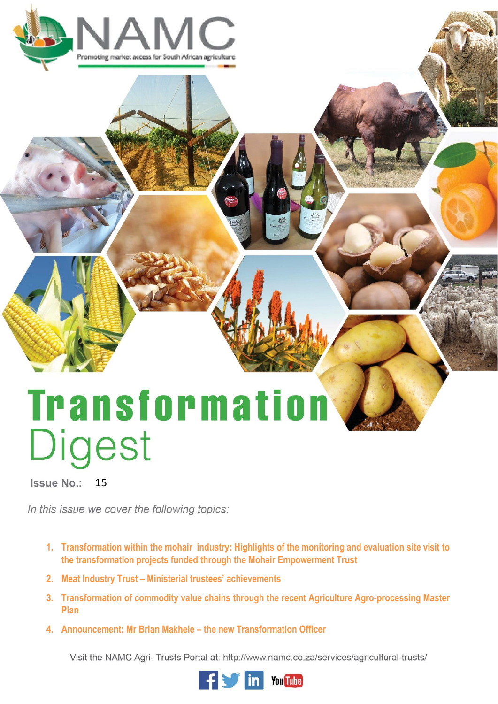

# **Transformation** Digest

Issue No.: 15

In this issue we cover the following topics:

- **1. Transformation within the mohair industry: Highlights of the monitoring and evaluation site visit to the transformation projects funded through the Mohair Empowerment Trust**
- **2. Meat Industry Trust – Ministerial trustees' achievements**
- **3. Transformation of commodity value chains through the recent Agriculture Agro-processing Master Plan**
- **4. Announcement: Mr Brian Makhele – the new Transformation Officer**

Visit the NAMC Agri- Trusts Portal at: http://www.namc.co.za/services/agricultural-trusts/

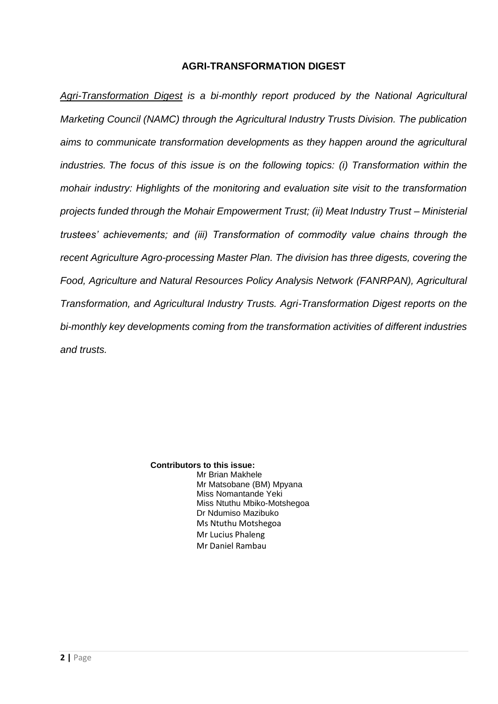# **AGRI-TRANSFORMATION DIGEST**

*Agri-Transformation Digest is a bi-monthly report produced by the National Agricultural Marketing Council (NAMC) through the Agricultural Industry Trusts Division. The publication aims to communicate transformation developments as they happen around the agricultural industries. The focus of this issue is on the following topics: (i) Transformation within the mohair industry: Highlights of the monitoring and evaluation site visit to the transformation projects funded through the Mohair Empowerment Trust; (ii) Meat Industry Trust – Ministerial trustees' achievements; and (iii) Transformation of commodity value chains through the recent Agriculture Agro-processing Master Plan. The division has three digests, covering the Food, Agriculture and Natural Resources Policy Analysis Network (FANRPAN), Agricultural Transformation, and Agricultural Industry Trusts. Agri-Transformation Digest reports on the bi-monthly key developments coming from the transformation activities of different industries and trusts.* 

> **Contributors to this issue:** Mr Brian Makhele Mr Matsobane (BM) Mpyana Miss Nomantande Yeki Miss Ntuthu Mbiko-Motshegoa Dr Ndumiso Mazibuko Ms Ntuthu Motshegoa Mr Lucius Phaleng Mr Daniel Rambau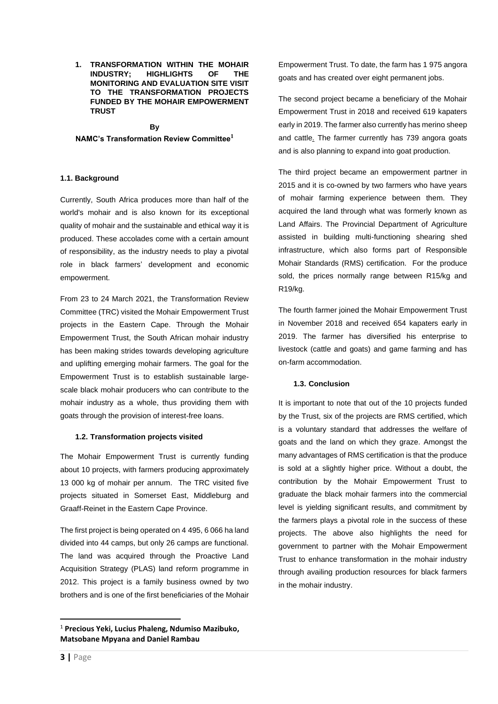**1. TRANSFORMATION WITHIN THE MOHAIR INDUSTRY; HIGHLIGHTS OF THE MONITORING AND EVALUATION SITE VISIT TO THE TRANSFORMATION PROJECTS FUNDED BY THE MOHAIR EMPOWERMENT TRUST**

# **By**

## **NAMC's Transformation Review Committee<sup>1</sup>**

## **1.1. Background**

Currently, South Africa produces more than half of the world's mohair and is also known for its exceptional quality of mohair and the sustainable and ethical way it is produced. These accolades come with a certain amount of responsibility, as the industry needs to play a pivotal role in black farmers' development and economic empowerment.

From 23 to 24 March 2021, the Transformation Review Committee (TRC) visited the Mohair Empowerment Trust projects in the Eastern Cape. Through the Mohair Empowerment Trust, the South African mohair industry has been making strides towards developing agriculture and uplifting emerging mohair farmers. The goal for the Empowerment Trust is to establish sustainable largescale black mohair producers who can contribute to the mohair industry as a whole, thus providing them with goats through the provision of interest-free loans.

#### **1.2. Transformation projects visited**

The Mohair Empowerment Trust is currently funding about 10 projects, with farmers producing approximately 13 000 kg of mohair per annum. The TRC visited five projects situated in Somerset East, Middleburg and Graaff-Reinet in the Eastern Cape Province.

The first project is being operated on 4 495, 6 066 ha land divided into 44 camps, but only 26 camps are functional. The land was acquired through the Proactive Land Acquisition Strategy (PLAS) land reform programme in 2012. This project is a family business owned by two brothers and is one of the first beneficiaries of the Mohair Empowerment Trust. To date, the farm has 1 975 angora goats and has created over eight permanent jobs.

The second project became a beneficiary of the Mohair Empowerment Trust in 2018 and received 619 kapaters early in 2019. The farmer also currently has merino sheep and cattle. The farmer currently has 739 angora goats and is also planning to expand into goat production.

The third project became an empowerment partner in 2015 and it is co-owned by two farmers who have years of mohair farming experience between them. They acquired the land through what was formerly known as Land Affairs. The Provincial Department of Agriculture assisted in building multi-functioning shearing shed infrastructure, which also forms part of Responsible Mohair Standards (RMS) certification. For the produce sold, the prices normally range between R15/kg and R19/kg.

The fourth farmer joined the Mohair Empowerment Trust in November 2018 and received 654 kapaters early in 2019. The farmer has diversified his enterprise to livestock (cattle and goats) and game farming and has on-farm accommodation.

#### **1.3. Conclusion**

It is important to note that out of the 10 projects funded by the Trust, six of the projects are RMS certified, which is a voluntary standard that addresses the welfare of goats and the land on which they graze. Amongst the many advantages of RMS certification is that the produce is sold at a slightly higher price. Without a doubt, the contribution by the Mohair Empowerment Trust to graduate the black mohair farmers into the commercial level is yielding significant results, and commitment by the farmers plays a pivotal role in the success of these projects. The above also highlights the need for government to partner with the Mohair Empowerment Trust to enhance transformation in the mohair industry through availing production resources for black farmers in the mohair industry.

<sup>1</sup> **Precious Yeki, Lucius Phaleng, Ndumiso Mazibuko, Matsobane Mpyana and Daniel Rambau**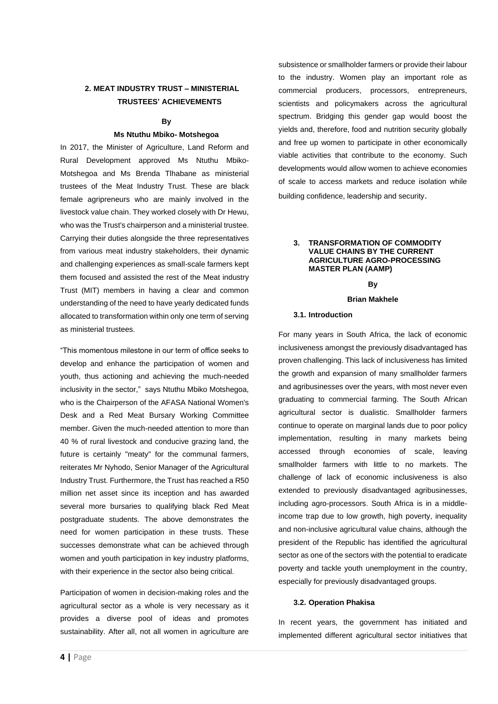# **2. MEAT INDUSTRY TRUST – MINISTERIAL TRUSTEES' ACHIEVEMENTS**

#### **By**

#### **Ms Ntuthu Mbiko- Motshegoa**

In 2017, the Minister of Agriculture, Land Reform and Rural Development approved Ms Ntuthu Mbiko-Motshegoa and Ms Brenda Tlhabane as ministerial trustees of the Meat Industry Trust. These are black female agripreneurs who are mainly involved in the livestock value chain. They worked closely with Dr Hewu, who was the Trust's chairperson and a ministerial trustee. Carrying their duties alongside the three representatives from various meat industry stakeholders, their dynamic and challenging experiences as small-scale farmers kept them focused and assisted the rest of the Meat industry Trust (MIT) members in having a clear and common understanding of the need to have yearly dedicated funds allocated to transformation within only one term of serving as ministerial trustees.

"This momentous milestone in our term of office seeks to develop and enhance the participation of women and youth, thus actioning and achieving the much-needed inclusivity in the sector," says Ntuthu Mbiko Motshegoa, who is the Chairperson of the AFASA National Women's Desk and a Red Meat Bursary Working Committee member. Given the much-needed attention to more than 40 % of rural livestock and conducive grazing land, the future is certainly "meaty" for the communal farmers, reiterates Mr Nyhodo, Senior Manager of the Agricultural Industry Trust. Furthermore, the Trust has reached a R50 million net asset since its inception and has awarded several more bursaries to qualifying black Red Meat postgraduate students. The above demonstrates the need for women participation in these trusts. These successes demonstrate what can be achieved through women and youth participation in key industry platforms, with their experience in the sector also being critical.

Participation of women in decision-making roles and the agricultural sector as a whole is very necessary as it provides a diverse pool of ideas and promotes sustainability. After all, not all women in agriculture are

subsistence or smallholder farmers or provide their labour to the industry. Women play an important role as commercial producers, processors, entrepreneurs, scientists and policymakers across the agricultural spectrum. Bridging this gender gap would boost the yields and, therefore, food and nutrition security globally and free up women to participate in other economically viable activities that contribute to the economy. Such developments would allow women to achieve economies of scale to access markets and reduce isolation while building confidence, leadership and security.

#### **3. TRANSFORMATION OF COMMODITY VALUE CHAINS BY THE CURRENT AGRICULTURE AGRO-PROCESSING MASTER PLAN (AAMP)**

**By**

#### **Brian Makhele**

# **3.1. Introduction**

For many years in South Africa, the lack of economic inclusiveness amongst the previously disadvantaged has proven challenging. This lack of inclusiveness has limited the growth and expansion of many smallholder farmers and agribusinesses over the years, with most never even graduating to commercial farming. The South African agricultural sector is dualistic. Smallholder farmers continue to operate on marginal lands due to poor policy implementation, resulting in many markets being accessed through economies of scale, leaving smallholder farmers with little to no markets. The challenge of lack of economic inclusiveness is also extended to previously disadvantaged agribusinesses, including agro-processors. South Africa is in a middleincome trap due to low growth, high poverty, inequality and non-inclusive agricultural value chains, although the president of the Republic has identified the agricultural sector as one of the sectors with the potential to eradicate poverty and tackle youth unemployment in the country, especially for previously disadvantaged groups.

#### **3.2. Operation Phakisa**

In recent years, the government has initiated and implemented different agricultural sector initiatives that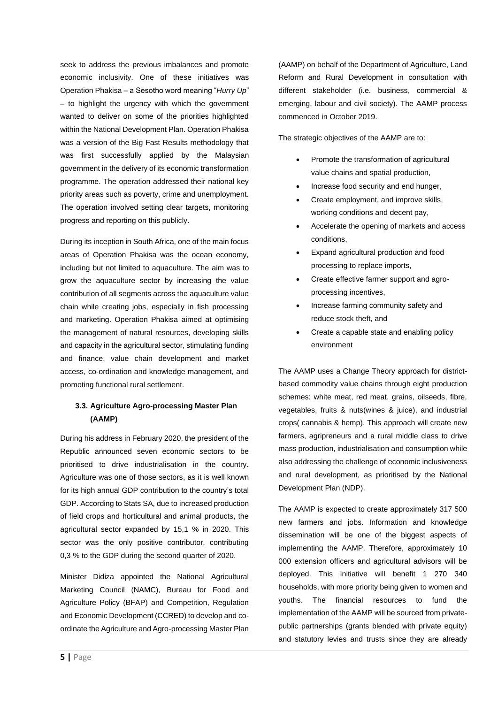seek to address the previous imbalances and promote economic inclusivity. One of these initiatives was Operation Phakisa – a Sesotho word meaning "*Hurry Up*" – to highlight the urgency with which the government wanted to deliver on some of the priorities highlighted within the National Development Plan. Operation Phakisa was a version of the Big Fast Results methodology that was first successfully applied by the Malaysian government in the delivery of its economic transformation programme. The operation addressed their national key priority areas such as poverty, crime and unemployment. The operation involved setting clear targets, monitoring progress and reporting on this publicly.

During its inception in South Africa, one of the main focus areas of Operation Phakisa was the ocean economy, including but not limited to aquaculture. The aim was to grow the aquaculture sector by increasing the value contribution of all segments across the aquaculture value chain while creating jobs, especially in fish processing and marketing. Operation Phakisa aimed at optimising the management of natural resources, developing skills and capacity in the agricultural sector, stimulating funding and finance, value chain development and market access, co-ordination and knowledge management, and promoting functional rural settlement.

# **3.3. Agriculture Agro-processing Master Plan (AAMP)**

During his address in February 2020, the president of the Republic announced seven economic sectors to be prioritised to drive industrialisation in the country. Agriculture was one of those sectors, as it is well known for its high annual GDP contribution to the country's total GDP. According to Stats SA, due to increased production of field crops and horticultural and animal products, the agricultural sector expanded by 15,1 % in 2020. This sector was the only positive contributor, contributing 0,3 % to the GDP during the second quarter of 2020.

Minister Didiza appointed the National Agricultural Marketing Council (NAMC), Bureau for Food and Agriculture Policy (BFAP) and Competition, Regulation and Economic Development (CCRED) to develop and coordinate the Agriculture and Agro-processing Master Plan (AAMP) on behalf of the Department of Agriculture, Land Reform and Rural Development in consultation with different stakeholder (i.e. business, commercial & emerging, labour and civil society). The AAMP process commenced in October 2019.

The strategic objectives of the AAMP are to:

- Promote the transformation of agricultural value chains and spatial production,
- Increase food security and end hunger,
- Create employment, and improve skills, working conditions and decent pay,
- Accelerate the opening of markets and access conditions,
- Expand agricultural production and food processing to replace imports,
- Create effective farmer support and agroprocessing incentives,
- Increase farming community safety and reduce stock theft, and
- Create a capable state and enabling policy environment

The AAMP uses a Change Theory approach for districtbased commodity value chains through eight production schemes: white meat, red meat, grains, oilseeds, fibre, vegetables, fruits & nuts(wines & juice), and industrial crops( cannabis & hemp). This approach will create new farmers, agripreneurs and a rural middle class to drive mass production, industrialisation and consumption while also addressing the challenge of economic inclusiveness and rural development, as prioritised by the National Development Plan (NDP).

The AAMP is expected to create approximately 317 500 new farmers and jobs. Information and knowledge dissemination will be one of the biggest aspects of implementing the AAMP. Therefore, approximately 10 000 extension officers and agricultural advisors will be deployed. This initiative will benefit 1 270 340 households, with more priority being given to women and youths. The financial resources to fund the implementation of the AAMP will be sourced from privatepublic partnerships (grants blended with private equity) and statutory levies and trusts since they are already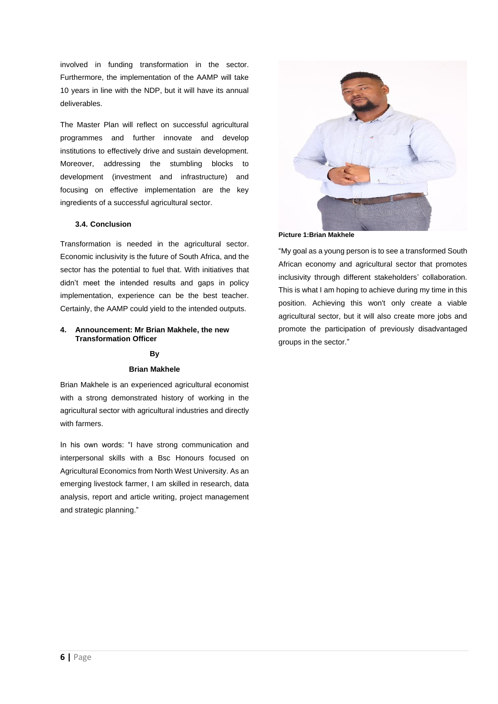involved in funding transformation in the sector. Furthermore, the implementation of the AAMP will take 10 years in line with the NDP, but it will have its annual deliverables.

The Master Plan will reflect on successful agricultural programmes and further innovate and develop institutions to effectively drive and sustain development. Moreover, addressing the stumbling blocks to development (investment and infrastructure) and focusing on effective implementation are the key ingredients of a successful agricultural sector.

### **3.4. Conclusion**

Transformation is needed in the agricultural sector. Economic inclusivity is the future of South Africa, and the sector has the potential to fuel that. With initiatives that didn't meet the intended results and gaps in policy implementation, experience can be the best teacher. Certainly, the AAMP could yield to the intended outputs.

#### **4. Announcement: Mr Brian Makhele, the new Transformation Officer**

#### **By**

#### **Brian Makhele**

Brian Makhele is an experienced agricultural economist with a strong demonstrated history of working in the agricultural sector with agricultural industries and directly with farmers.

In his own words: "I have strong communication and interpersonal skills with a Bsc Honours focused on Agricultural Economics from North West University. As an emerging livestock farmer, I am skilled in research, data analysis, report and article writing, project management and strategic planning."



**Picture 1:Brian Makhele**

"My goal as a young person is to see a transformed South African economy and agricultural sector that promotes inclusivity through different stakeholders' collaboration. This is what I am hoping to achieve during my time in this position. Achieving this won't only create a viable agricultural sector, but it will also create more jobs and promote the participation of previously disadvantaged groups in the sector."